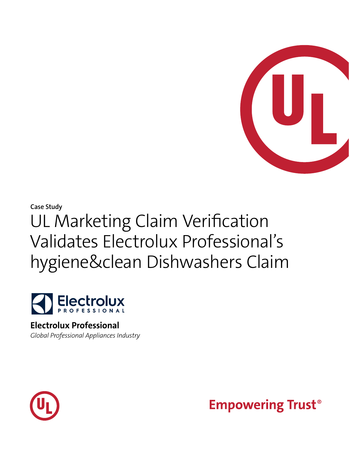

# **Case Study** UL Marketing Claim Verification Validates Electrolux Professional's hygiene&clean Dishwashers Claim



### **Electrolux Professional** *Global Professional Appliances Industry*



**Empowering Trust<sup>®</sup>**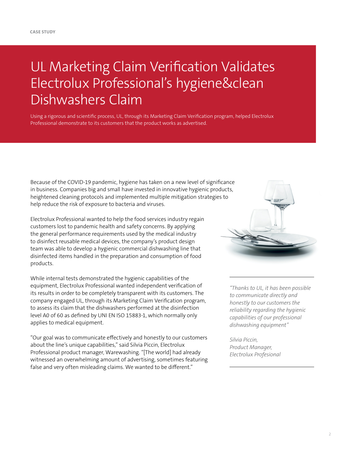## UL Marketing Claim Verification Validates Electrolux Professional's hygiene&clean Dishwashers Claim

Using a rigorous and scientific process, UL, through its Marketing Claim Verification program, helped Electrolux Professional demonstrate to its customers that the product works as advertised.

Because of the COVID-19 pandemic, hygiene has taken on a new level of significance in business. Companies big and small have invested in innovative hygienic products, heightened cleaning protocols and implemented multiple mitigation strategies to help reduce the risk of exposure to bacteria and viruses.

Electrolux Professional wanted to help the food services industry regain customers lost to pandemic health and safety concerns. By applying the general performance requirements used by the medical industry to disinfect reusable medical devices, the company's product design team was able to develop a hygienic commercial dishwashing line that disinfected items handled in the preparation and consumption of food products.

While internal tests demonstrated the hygienic capabilities of the equipment, Electrolux Professional wanted independent verification of its results in order to be completely transparent with its customers. The company engaged UL, through its Marketing Claim Verification program, to assess its claim that the dishwashers performed at the disinfection level A0 of 60 as defined by UNI EN ISO 15883-1, which normally only applies to medical equipment.

"Our goal was to communicate effectively and honestly to our customers about the line's unique capabilities," said Silvia Piccin, Electrolux Professional product manager, Warewashing. "[The world] had already witnessed an overwhelming amount of advertising, sometimes featuring false and very often misleading claims. We wanted to be different."



*"Thanks to UL, it has been possible to communicate directly and honestly to our customers the reliability regarding the hygienic capabilities of our professional dishwashing equipment"* 

*Silvia Piccin, Product Manager, Electrolux Profesional*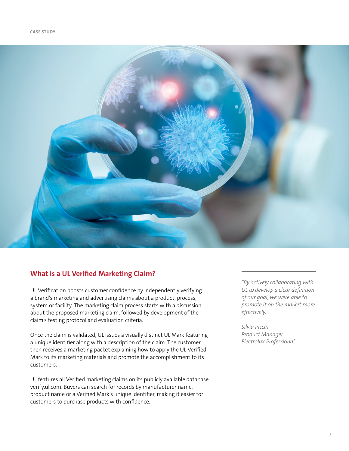

#### **What is a UL Verified Marketing Claim?**

UL Verification boosts customer confidence by independently verifying a brand's marketing and advertising claims about a product, process, system or facility. The marketing claim process starts with a discussion about the proposed marketing claim, followed by development of the claim's testing protocol and evaluation criteria.

Once the claim is validated, UL issues a visually distinct UL Mark featuring a unique identifier along with a description of the claim. The customer then receives a marketing packet explaining how to apply the UL Verified Mark to its marketing materials and promote the accomplishment to its customers.

UL features all Verified marketing claims on its publicly available database, verify.ul.com. Buyers can search for records by manufacturer name, product name or a Verified Mark's unique identifier, making it easier for customers to purchase products with confidence.

*"By actively collaborating with UL to develop a clear definition of our goal, we were able to promote it on the market more effectively."*

*Silvia Piccin Product Manager, Electrolux Professional*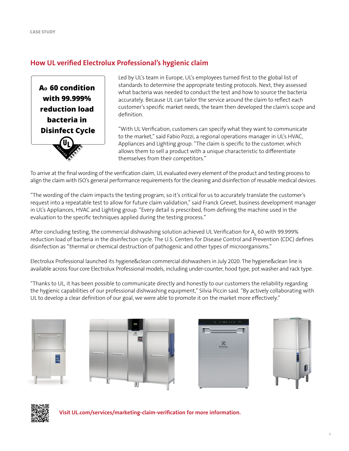#### **How UL verified Electrolux Professional's hygienic claim**

A<sub>o</sub> 60 condition with 99.999% reduction load bacteria in **Disinfect Cycle**  Led by UL's team in Europe, UL's employees turned first to the global list of standards to determine the appropriate testing protocols. Next, they assessed what bacteria was needed to conduct the test and how to source the bacteria accurately. Because UL can tailor the service around the claim to reflect each customer's specific market needs, the team then developed the claim's scope and definition.

"With UL Verification, customers can specify what they want to communicate to the market," said Fabio Pozzi, a regional operations manager in UL's HVAC, Appliances and Lighting group. "The claim is specific to the customer, which allows them to sell a product with a unique characteristic to differentiate themselves from their competitors."

To arrive at the final wording of the verification claim, UL evaluated every element of the product and testing process to align the claim with ISO's general performance requirements for the cleaning and disinfection of reusable medical devices.

"The wording of the claim impacts the testing program, so it's critical for us to accurately translate the customer's request into a repeatable test to allow for future claim validation," said Franck Grevet, business development manager in UL's Appliances, HVAC and Lighting group. "Every detail is prescribed, from defining the machine used in the evaluation to the specific techniques applied during the testing process."

After concluding testing, the commercial dishwashing solution achieved UL Verification for A $_{\rm o}$  60 with 99.999% reduction load of bacteria in the disinfection cycle. The U.S. Centers for Disease Control and Prevention (CDC) defines disinfection as "thermal or chemical destruction of pathogenic and other types of microorganisms."

Electrolux Professional launched its hygiene&clean commercial dishwashers in July 2020. The hygiene&clean line is available across four core Electrolux Professional models, including under-counter, hood type, pot washer and rack type.

"Thanks to UL, it has been possible to communicate directly and honestly to our customers the reliability regarding the hygienic capabilities of our professional dishwashing equipment," Silvia Piccin said. "By actively collaborating with UL to develop a clear definition of our goal, we were able to promote it on the market more effectively."











**Visit [UL.com/services/marketing-claim-verification](https://UL.com/services/marketing-claim-verification) for more information.**